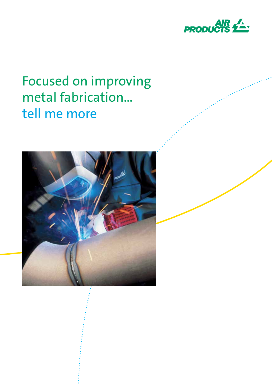

# Focused on improving metal fabrication… tell me more

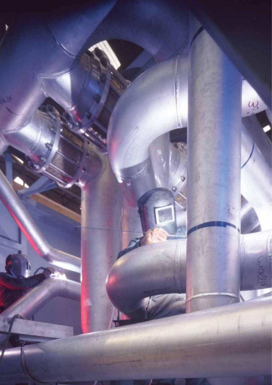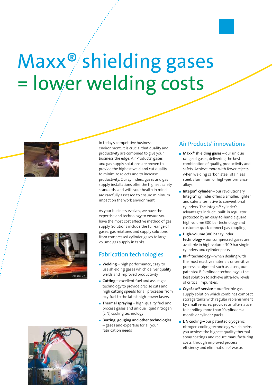# Maxx<sup>®</sup> shielding gases = lower welding costs







environment, it is crucial that quality and productivity are combined to give your

In today's competitive business

As your business evolves, we have the expertise and technology to ensure you have the most cost effective method of gas supply. Solutions include the full-range of gases, gas mixtures and supply solutions from compressed cylinder gases to large volume gas supply in tanks.

# Fabrication technologies

- **Welding –** high performance, easy-touse shielding gases which deliver quality welds and improved productivity.
- **Cutting –** excellent fuel and assist gas technology to provide precise cuts and high cutting speeds for all processes from oxy-fuel to the latest high-power lasers.
- **Thermal spraying** high-quality fuel and process gases and unique liquid nitrogen (LIN) cooling technology
- **Brazing, gouging and other technologies –** gases and expertise for all your fabrication needs

# Air Products' innovations

- **Maxx<sup>®</sup> shielding gases** our unique range of gases, delivering the best combination of quality, productivity and safety. Achieve more with fewer rejects when welding carbon steel, stainless steel, aluminium or high-performance alloys.
- Integra<sup>®</sup> cylinder our revolutionary Integra® cylinder offers a smaller, lighter and safer alternative to conventional cylinders. The Integra® cylinder's advantages include: built-in regulator protected by an easy-to-handle guard; high volume 300 bar technology and customer quick connect gas coupling.
- **High-volume 300 bar cylinder technology –** our compressed gases are available in high-volume 300 bar single cylinders and cylinder packs.
- **BIP® technology** when dealing with the most reactive materials or sensitive process equipment such as lasers, our patented BIP cylinder technology is the best solution to achieve ultra-low levels of critical impurities.
- **CryoEase<sup>®</sup> service** our flexible gas supply solution which combines compact storage tanks with regular replenishment by small vehicles, provides an alternative to handling more than 10 cylinders a month or cylinder packs.
- **LIN cooling** our patented cryogenic nitrogen cooling technology which helps you achieve the highest quality thermal spray coatings and reduce manufacturing costs, through improved process efficiency and elimination of waste.

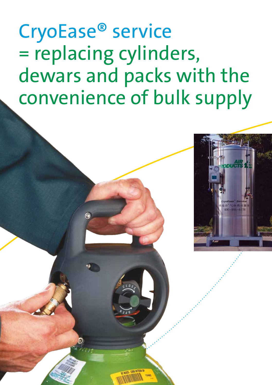# CryoEase® service = replacing cylinders, dewars and packs with the convenience of bulk supply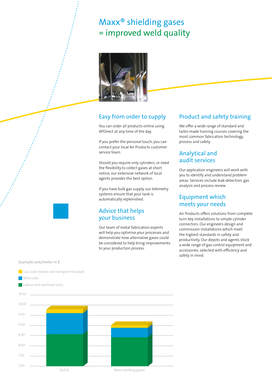# Maxx® shielding gases = improved weld quality



# Easy from order to supply

You can order all products online using APDirect at any time of the day.

If you prefer the personal touch, you can contact your local Air Products customer service team.

Should you require only cylinders, or need the flexibility to collect gases at short notice, our extensive network of local agents provides the best option.

If you have bulk gas supply, our telemetry systems ensure that your tank is automatically replenished.

# Advice that helps your business

Our team of metal fabrication experts will help you optimise your processes and demonstrate how alternative gases could be considered to help bring improvements to your production process.

# Product and safety training

We offer a wide range of standard and tailor-made training courses covering the most common fabrication technology, process and safety .

## Analytical and audit services

Our application engineers will work with you to identify and understand problem areas. Services include leak-detection, gas analysis and process review.

# Equipment which meets your needs

Air Products offers solutions from complete turn-key installations to simple cylinder connectors. Our engineers design and commission installations which meet the highest standards in safety and productivity. Our depots and agents stock a wide range of gas control equipment and accessories, selected with efficiency and safety in mind.

### Example cost/meter in €

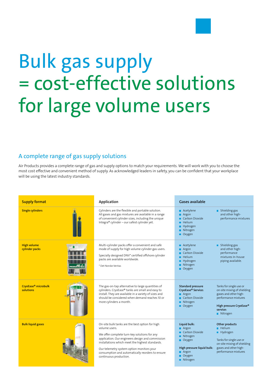# Bulk gas supply = cost-effective solutions for large volume users

# A complete range of gas supply solutions

Air Products provides a complete range of gas and supply options to match your requirements. We will work with you to choose the most cost effective and convenient method of supply. As acknowledged leaders in safety, you can be confident that your workplace will be using the latest industry standards.

| <b>Supply format</b>                         | Application                                                                                                                                                                                                                                                                                                                                        | <b>Gases available</b>                                                                                                                                                                                                                                                                                        |
|----------------------------------------------|----------------------------------------------------------------------------------------------------------------------------------------------------------------------------------------------------------------------------------------------------------------------------------------------------------------------------------------------------|---------------------------------------------------------------------------------------------------------------------------------------------------------------------------------------------------------------------------------------------------------------------------------------------------------------|
| <b>Single cylinders</b>                      | Cylinders are the flexible and portable solution.<br>All gases and gas mixtures are available in a range<br>of convenient cylinder sizes, including the unique<br>Integra® cylinder - our safest cylinder yet.                                                                                                                                     | Acetylene<br><b>B</b> Shielding gas<br>and other high-<br>Argon<br>п<br>Carbon Dioxide<br>performance mixtures<br><b>Helium</b><br>Hydrogen<br>■ Nitrogen<br>$\Box$ Oxygen                                                                                                                                    |
| <b>High volume</b><br>cylinder packs         | Multi-cylinder packs offer a convenient and safe<br>mode of supply for high volume cylinder gas users.<br>Specially designed DNV* certified offshore cylinder<br>packs are available worldwide.<br>* Det Norske Veritas                                                                                                                            | <b>B</b> Shielding gas<br>Acetylene<br>and other high-<br>Argon<br>Carbon Dioxide<br>performance<br>mixtures In-house<br>$\blacksquare$ Helium<br>piping available.<br>Hydrogen<br>П.<br>Nitrogen<br>п<br><b>Oxygen</b>                                                                                       |
| CryoEase <sup>®</sup> microbulk<br>solutions | The gas-on-tap alternative to large quantities of<br>cylinders. CryoEase® tanks are small and easy to<br>install. They are available in a variety of sizes and<br>should be considered when demand reaches 10 or<br>more cylinders a month.                                                                                                        | <b>Standard pressure</b><br>Tanks for single use or<br>CryoEase <sup>®</sup> Service:<br>on-site mixing of shielding<br>gases and other high-<br><b>Argon</b><br>Carbon Dioxide<br>performance mixtures<br>■ Nitrogen<br><b>Oxygen</b><br>High pressure CryoEase®<br>service:<br>$\blacksquare$ Nitrogen      |
| <b>Bulk liquid gases</b>                     | On-site bulk tanks are the best option for high<br>volume users.<br>We offer complete turn-key solutions for any<br>application. Our engineers design and commission<br>installations which meet the highest standards.<br>Our telemetry system option monitors your<br>consumption and automatically reorders to ensure<br>continuous production. | Other products<br>Liquid bulk:<br>$H$ Helium<br><b>Argon</b><br>Carbon Dioxide<br>Hydrogen<br>Nitrogen<br>Tanks for single use or<br>$\Box$ Oxygen<br>on-site mixing of shielding<br>High pressure liquid bulk:<br>gases and other high-<br>performance mixtures<br><b>Argon</b><br>$\Box$ Oxygen<br>Nitrogen |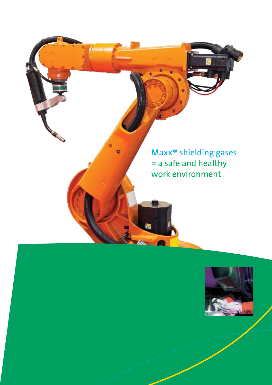